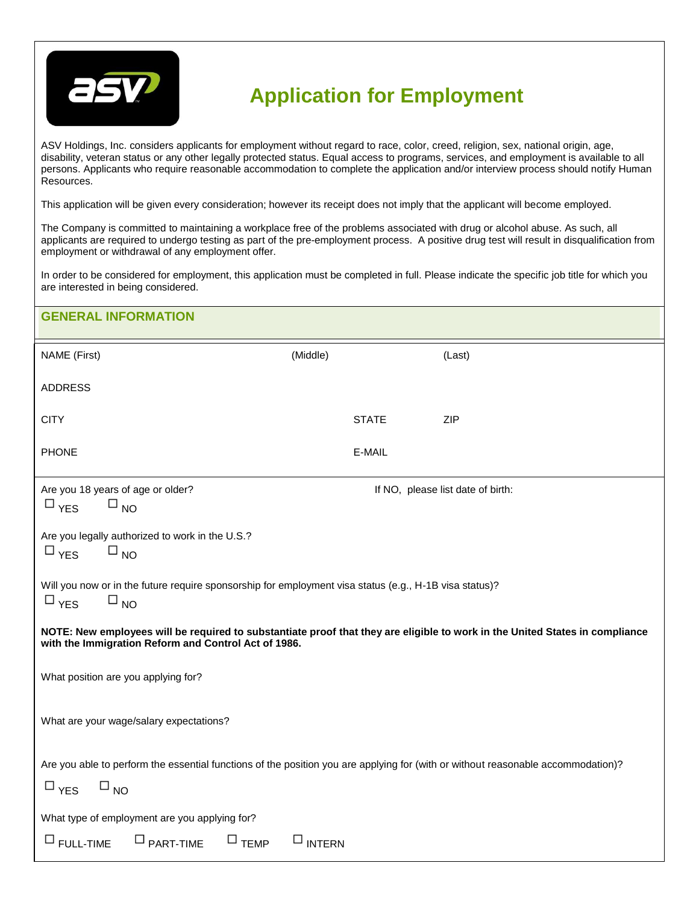

## **Application for Employment**

ASV Holdings, Inc. considers applicants for employment without regard to race, color, creed, religion, sex, national origin, age, disability, veteran status or any other legally protected status. Equal access to programs, services, and employment is available to all persons. Applicants who require reasonable accommodation to complete the application and/or interview process should notify Human Resources.

This application will be given every consideration; however its receipt does not imply that the applicant will become employed.

The Company is committed to maintaining a workplace free of the problems associated with drug or alcohol abuse. As such, all applicants are required to undergo testing as part of the pre-employment process. A positive drug test will result in disqualification from employment or withdrawal of any employment offer.

In order to be considered for employment, this application must be completed in full. Please indicate the specific job title for which you are interested in being considered.

| <b>GENERAL INFORMATION</b>                                                                                                                                                           |                  |                                   |  |
|--------------------------------------------------------------------------------------------------------------------------------------------------------------------------------------|------------------|-----------------------------------|--|
| NAME (First)                                                                                                                                                                         | (Middle)         | (Last)                            |  |
| <b>ADDRESS</b>                                                                                                                                                                       |                  |                                   |  |
| <b>CITY</b>                                                                                                                                                                          | <b>STATE</b>     | ZIP                               |  |
| <b>PHONE</b>                                                                                                                                                                         | E-MAIL           |                                   |  |
| Are you 18 years of age or older?<br>$\square_{NO}$<br>$\Box$ YES                                                                                                                    |                  | If NO, please list date of birth: |  |
| Are you legally authorized to work in the U.S.?<br>$\Box$ YES<br>$\square_{NO}$                                                                                                      |                  |                                   |  |
| Will you now or in the future require sponsorship for employment visa status (e.g., H-1B visa status)?<br>$\square$ YES<br>$\square_{NO}$                                            |                  |                                   |  |
| NOTE: New employees will be required to substantiate proof that they are eligible to work in the United States in compliance<br>with the Immigration Reform and Control Act of 1986. |                  |                                   |  |
| What position are you applying for?                                                                                                                                                  |                  |                                   |  |
| What are your wage/salary expectations?                                                                                                                                              |                  |                                   |  |
| Are you able to perform the essential functions of the position you are applying for (with or without reasonable accommodation)?<br>$\square$ YES<br>$\square_{NO}$                  |                  |                                   |  |
| What type of employment are you applying for?                                                                                                                                        |                  |                                   |  |
| $\square$ TEMP<br>$\Box$ PART-TIME<br>$\Box$ FULL-TIME                                                                                                                               | $\square$ INTERN |                                   |  |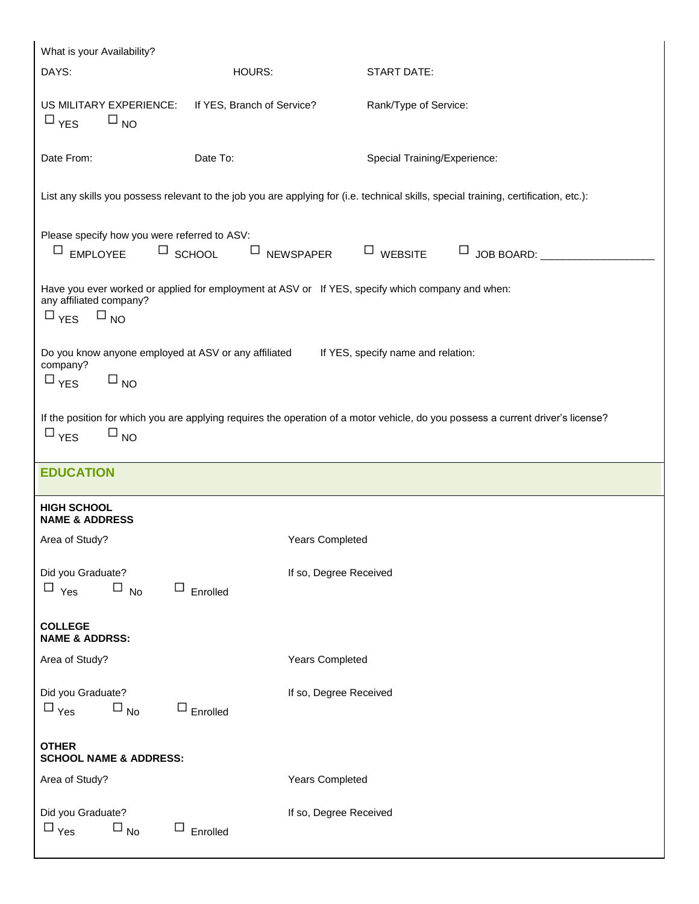| What is your Availability?                                                                                                                                                   |                            |                                                                                                                                      |  |  |
|------------------------------------------------------------------------------------------------------------------------------------------------------------------------------|----------------------------|--------------------------------------------------------------------------------------------------------------------------------------|--|--|
| DAYS:                                                                                                                                                                        | HOURS:                     | START DATE:                                                                                                                          |  |  |
| US MILITARY EXPERIENCE:<br>$\square_{NO}$<br>$\Box$ YES                                                                                                                      | If YES, Branch of Service? | Rank/Type of Service:                                                                                                                |  |  |
| Date From:<br>Date To:<br>Special Training/Experience:                                                                                                                       |                            |                                                                                                                                      |  |  |
|                                                                                                                                                                              |                            | List any skills you possess relevant to the job you are applying for (i.e. technical skills, special training, certification, etc.): |  |  |
| Please specify how you were referred to ASV:<br>$\Box$ EMPLOYEE                                                                                                              | $\Box$ SCHOOL              | $\Box$ NEWSPAPER<br>$\Box$ WEBSITE                                                                                                   |  |  |
| Have you ever worked or applied for employment at ASV or If YES, specify which company and when:<br>any affiliated company?<br>$\Box_{\text{YES}}$ $\Box_{\text{NO}}$        |                            |                                                                                                                                      |  |  |
| Do you know anyone employed at ASV or any affiliated<br>If YES, specify name and relation:<br>company?<br>$\square$ YES<br>$\square$ <sub>NO</sub>                           |                            |                                                                                                                                      |  |  |
| If the position for which you are applying requires the operation of a motor vehicle, do you possess a current driver's license?<br>$\square$ <sub>NO</sub><br>$\square$ YES |                            |                                                                                                                                      |  |  |
|                                                                                                                                                                              |                            |                                                                                                                                      |  |  |
| <b>EDUCATION</b>                                                                                                                                                             |                            |                                                                                                                                      |  |  |
| <b>HIGH SCHOOL</b><br><b>NAME &amp; ADDRESS</b>                                                                                                                              |                            |                                                                                                                                      |  |  |
| Area of Study?                                                                                                                                                               |                            | Years Completed                                                                                                                      |  |  |
| Did you Graduate?<br>$\square$ No<br>$\Box$ Yes                                                                                                                              | $\Box$ Enrolled            | If so, Degree Received                                                                                                               |  |  |
| <b>COLLEGE</b><br><b>NAME &amp; ADDRSS:</b>                                                                                                                                  |                            |                                                                                                                                      |  |  |
| Area of Study?                                                                                                                                                               |                            | Years Completed                                                                                                                      |  |  |
| Did you Graduate?<br>$\square$ Yes<br>$\square$ <sub>No</sub>                                                                                                                | $\Box$ Enrolled            | If so, Degree Received                                                                                                               |  |  |
| <b>OTHER</b><br><b>SCHOOL NAME &amp; ADDRESS:</b>                                                                                                                            |                            |                                                                                                                                      |  |  |
| Area of Study?                                                                                                                                                               |                            | Years Completed                                                                                                                      |  |  |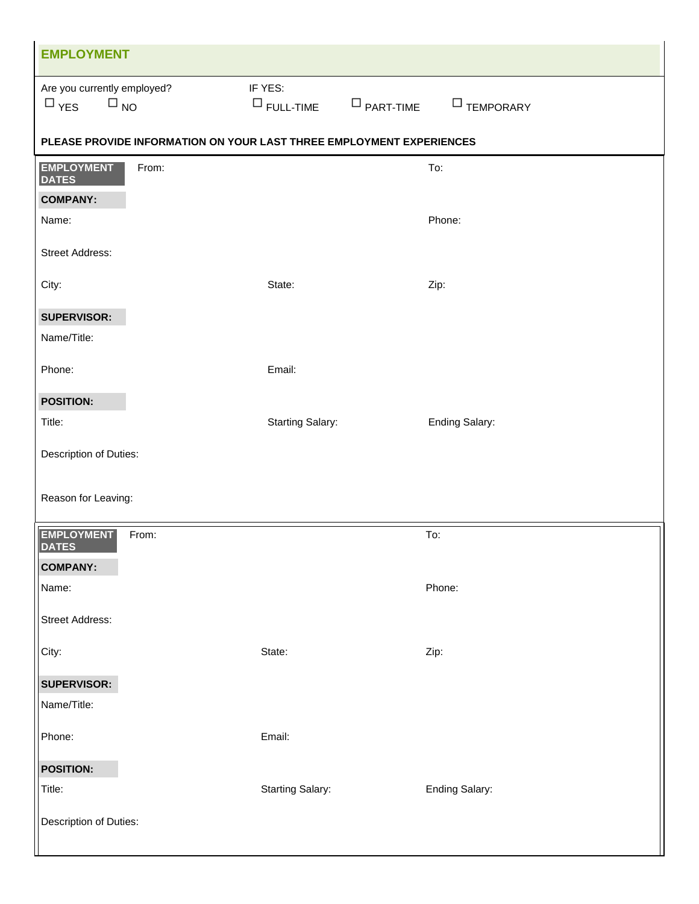| <b>EMPLOYMENT</b>                                                    |                                                 |                       |
|----------------------------------------------------------------------|-------------------------------------------------|-----------------------|
| Are you currently employed?<br>$\square$ YES<br>$\square$ NO         | IF YES:<br>$\Box$ FULL-TIME<br>$\Box$ PART-TIME | $\Box$ TEMPORARY      |
| PLEASE PROVIDE INFORMATION ON YOUR LAST THREE EMPLOYMENT EXPERIENCES |                                                 |                       |
| <b>EMPLOYMENT</b><br>From:<br><b>DATES</b>                           |                                                 | To:                   |
| <b>COMPANY:</b>                                                      |                                                 |                       |
| Name:                                                                |                                                 | Phone:                |
| <b>Street Address:</b>                                               |                                                 |                       |
| City:                                                                | State:                                          | Zip:                  |
| <b>SUPERVISOR:</b>                                                   |                                                 |                       |
| Name/Title:                                                          |                                                 |                       |
| Phone:                                                               | Email:                                          |                       |
| <b>POSITION:</b>                                                     |                                                 |                       |
| Title:                                                               | <b>Starting Salary:</b>                         | <b>Ending Salary:</b> |
| Description of Duties:                                               |                                                 |                       |
| Reason for Leaving:                                                  |                                                 |                       |
| <b>EMPLOYMENT</b><br>From:<br><b>DATES</b>                           |                                                 | To:                   |
| <b>COMPANY:</b>                                                      |                                                 |                       |
| Name:                                                                |                                                 | Phone:                |
| Street Address:                                                      |                                                 |                       |
| City:                                                                | State:                                          | Zip:                  |
| <b>SUPERVISOR:</b>                                                   |                                                 |                       |
| Name/Title:                                                          |                                                 |                       |
| Phone:                                                               | Email:                                          |                       |
| <b>POSITION:</b>                                                     |                                                 |                       |
| Title:                                                               | <b>Starting Salary:</b>                         | Ending Salary:        |
| Description of Duties:                                               |                                                 |                       |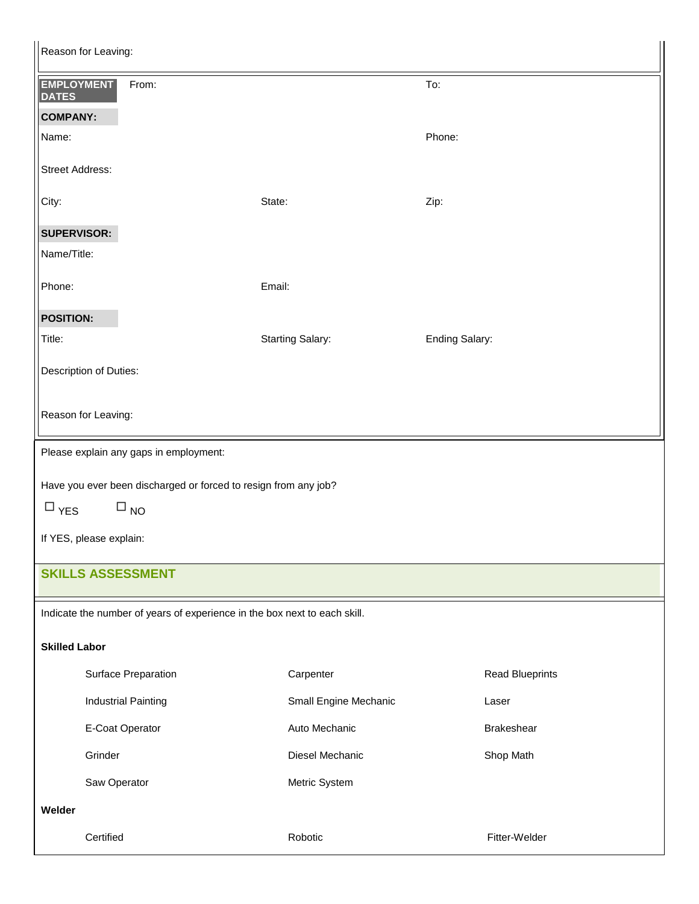| Reason for Leaving:                                                       |                         |                        |  |  |
|---------------------------------------------------------------------------|-------------------------|------------------------|--|--|
| <b>EMPLOYMENT</b><br>From:<br><b>DATES</b>                                |                         | To:                    |  |  |
| <b>COMPANY:</b>                                                           |                         |                        |  |  |
| Name:                                                                     |                         | Phone:                 |  |  |
| <b>Street Address:</b>                                                    |                         |                        |  |  |
| City:                                                                     | State:                  | Zip:                   |  |  |
| <b>SUPERVISOR:</b>                                                        |                         |                        |  |  |
| Name/Title:                                                               |                         |                        |  |  |
| Phone:                                                                    | Email:                  |                        |  |  |
| <b>POSITION:</b>                                                          |                         |                        |  |  |
| Title:                                                                    | <b>Starting Salary:</b> | <b>Ending Salary:</b>  |  |  |
| Description of Duties:                                                    |                         |                        |  |  |
| Reason for Leaving:                                                       |                         |                        |  |  |
| Please explain any gaps in employment:                                    |                         |                        |  |  |
| Have you ever been discharged or forced to resign from any job?           |                         |                        |  |  |
| $\Box$ YES<br>$\square_{\,\rm NO}$                                        |                         |                        |  |  |
| If YES, please explain:                                                   |                         |                        |  |  |
| <b>SKILLS ASSESSMENT</b>                                                  |                         |                        |  |  |
| Indicate the number of years of experience in the box next to each skill. |                         |                        |  |  |
| <b>Skilled Labor</b>                                                      |                         |                        |  |  |
| Surface Preparation                                                       | Carpenter               | <b>Read Blueprints</b> |  |  |
| <b>Industrial Painting</b>                                                | Small Engine Mechanic   | Laser                  |  |  |
| E-Coat Operator                                                           | Auto Mechanic           | Brakeshear             |  |  |
| Grinder                                                                   | Diesel Mechanic         | Shop Math              |  |  |
| Saw Operator                                                              | Metric System           |                        |  |  |
| Welder                                                                    |                         |                        |  |  |
| Certified                                                                 | Robotic                 | Fitter-Welder          |  |  |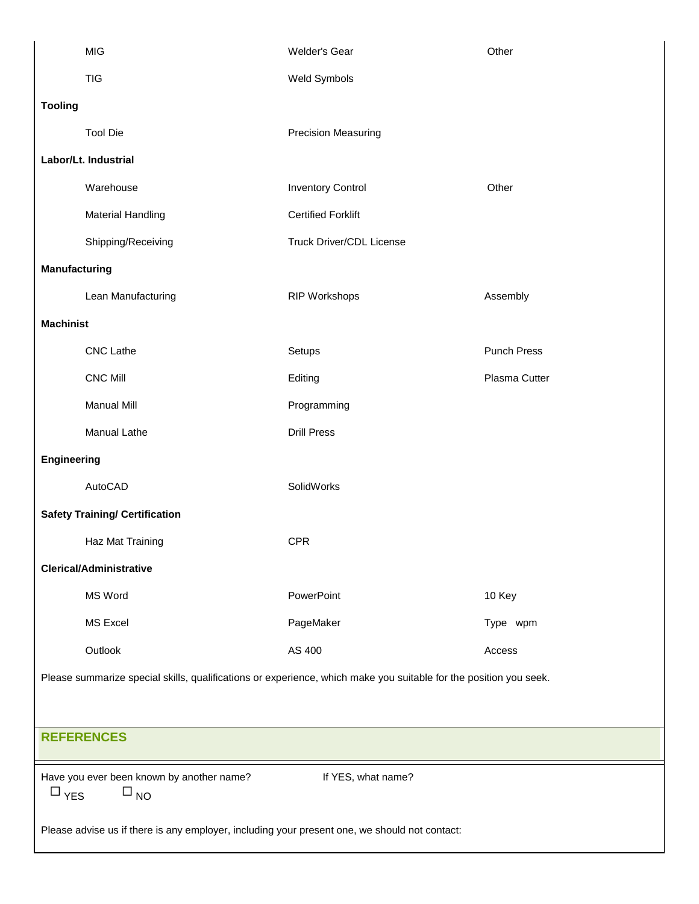| <b>MIG</b>                                                                                                        | <b>Welder's Gear</b>            | Other              |  |
|-------------------------------------------------------------------------------------------------------------------|---------------------------------|--------------------|--|
| <b>TIG</b>                                                                                                        | Weld Symbols                    |                    |  |
| <b>Tooling</b>                                                                                                    |                                 |                    |  |
| <b>Tool Die</b>                                                                                                   | Precision Measuring             |                    |  |
| Labor/Lt. Industrial                                                                                              |                                 |                    |  |
| Warehouse                                                                                                         | <b>Inventory Control</b>        | Other              |  |
| <b>Material Handling</b>                                                                                          | <b>Certified Forklift</b>       |                    |  |
| Shipping/Receiving                                                                                                | <b>Truck Driver/CDL License</b> |                    |  |
| Manufacturing                                                                                                     |                                 |                    |  |
| Lean Manufacturing                                                                                                | <b>RIP Workshops</b>            | Assembly           |  |
| <b>Machinist</b>                                                                                                  |                                 |                    |  |
| <b>CNC Lathe</b>                                                                                                  | Setups                          | <b>Punch Press</b> |  |
| <b>CNC Mill</b>                                                                                                   | Editing                         | Plasma Cutter      |  |
| <b>Manual Mill</b>                                                                                                | Programming                     |                    |  |
| Manual Lathe                                                                                                      | <b>Drill Press</b>              |                    |  |
| Engineering                                                                                                       |                                 |                    |  |
| AutoCAD                                                                                                           | SolidWorks                      |                    |  |
| <b>Safety Training/ Certification</b>                                                                             |                                 |                    |  |
| Haz Mat Training                                                                                                  | <b>CPR</b>                      |                    |  |
| <b>Clerical/Administrative</b>                                                                                    |                                 |                    |  |
| MS Word                                                                                                           | PowerPoint                      | 10 Key             |  |
| <b>MS Excel</b>                                                                                                   | PageMaker                       | Type wpm           |  |
| Outlook                                                                                                           | AS 400                          | Access             |  |
| Please summarize special skills, qualifications or experience, which make you suitable for the position you seek. |                                 |                    |  |
|                                                                                                                   |                                 |                    |  |
| <b>REFERENCES</b>                                                                                                 |                                 |                    |  |
| Have you ever been known by another name?<br>$\square$ NO<br>$\square$ YES                                        | If YES, what name?              |                    |  |
| Please advise us if there is any employer, including your present one, we should not contact:                     |                                 |                    |  |